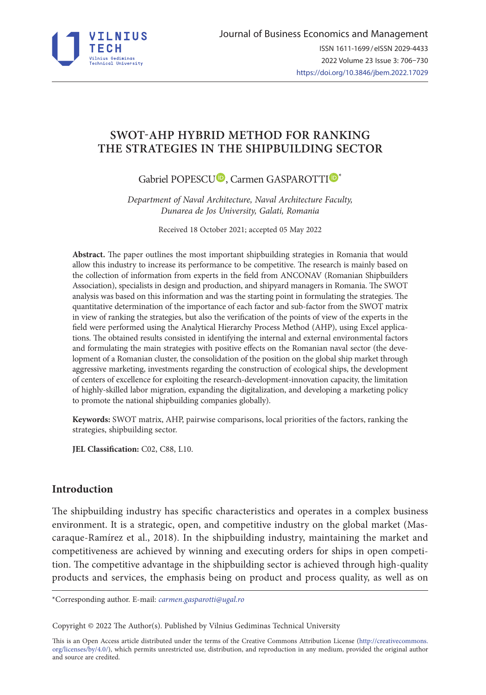

# **SWOT-AHP HYBRID METHOD FOR RANKING THE STRATEGIES IN THE SHIPBUILDING SECTOR**

# Gabriel POPESC[U](https://orcid.org/0000-0003-0004-6888)<sup>D</sup>, Carmen GASPAROTT[I](https://orcid.org/0000-0001-7024-1553)<sup>D\*</sup>

*Department of Naval Architecture, Naval Architecture Faculty, Dunarea de Jos University, Galati, Romania* 

Received 18 October 2021; accepted 05 May 2022

**Abstract.** The paper outlines the most important shipbuilding strategies in Romania that would allow this industry to increase its performance to be competitive. The research is mainly based on the collection of information from experts in the field from ANCONAV (Romanian Shipbuilders Association), specialists in design and production, and shipyard managers in Romania. The SWOT analysis was based on this information and was the starting point in formulating the strategies. The quantitative determination of the importance of each factor and sub-factor from the SWOT matrix in view of ranking the strategies, but also the verification of the points of view of the experts in the field were performed using the Analytical Hierarchy Process Method (AHP), using Excel applications. The obtained results consisted in identifying the internal and external environmental factors and formulating the main strategies with positive effects on the Romanian naval sector (the development of a Romanian cluster, the consolidation of the position on the global ship market through aggressive marketing, investments regarding the construction of ecological ships, the development of centers of excellence for exploiting the research-development-innovation capacity, the limitation of highly-skilled labor migration, expanding the digitalization, and developing a marketing policy to promote the national shipbuilding companies globally).

**Keywords:** SWOT matrix, AHP, pairwise comparisons, local priorities of the factors, ranking the strategies, shipbuilding sector.

**JEL Classification:** C02, C88, L10.

## **Introduction**

The shipbuilding industry has specific characteristics and operates in a complex business environment. It is a strategic, open, and competitive industry on the global market (Mascaraque-Ramírez et al., 2018). In the shipbuilding industry, maintaining the market and competitiveness are achieved by winning and executing orders for ships in open competition. The competitive advantage in the shipbuilding sector is achieved through high-quality products and services, the emphasis being on product and process quality, as well as on

\*Corresponding author. E-mail: *carmen.gasparotti@ugal.ro*

Copyright © 2022 The Author(s). Published by Vilnius Gediminas Technical University

This is an Open Access article distributed under the terms of the Creative Commons Attribution License ([http://creativecommons.](http://creativecommons.org/licenses/by/4.0/) [org/licenses/by/4.0/\)](http://creativecommons.org/licenses/by/4.0/), which permits unrestricted use, distribution, and reproduction in any medium, provided the original author and source are credited.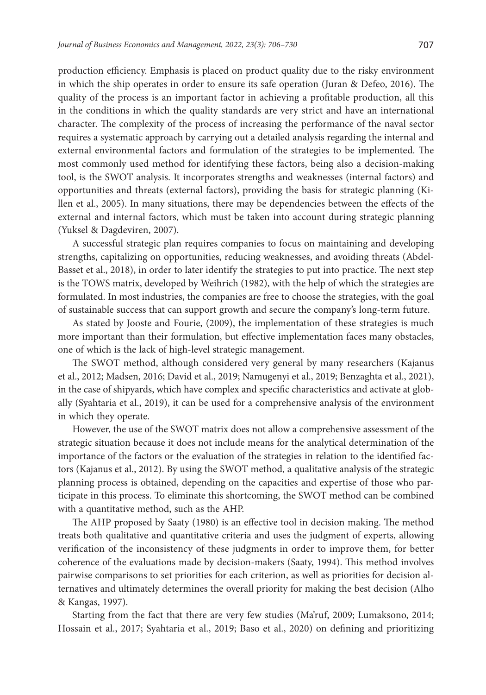production efficiency. Emphasis is placed on product quality due to the risky environment in which the ship operates in order to ensure its safe operation (Juran & Defeo, 2016). The quality of the process is an important factor in achieving a profitable production, all this in the conditions in which the quality standards are very strict and have an international character. The complexity of the process of increasing the performance of the naval sector requires a systematic approach by carrying out a detailed analysis regarding the internal and external environmental factors and formulation of the strategies to be implemented. The most commonly used method for identifying these factors, being also a decision-making tool, is the SWOT analysis. It incorporates strengths and weaknesses (internal factors) and opportunities and threats (external factors), providing the basis for strategic planning (Killen et al., 2005). In many situations, there may be dependencies between the effects of the external and internal factors, which must be taken into account during strategic planning (Yuksel & Dagdeviren, 2007).

A successful strategic plan requires companies to focus on maintaining and developing strengths, capitalizing on opportunities, reducing weaknesses, and avoiding threats (Abdel-Basset et al., 2018), in order to later identify the strategies to put into practice. The next step is the TOWS matrix, developed by Weihrich (1982), with the help of which the strategies are formulated. In most industries, the companies are free to choose the strategies, with the goal of sustainable success that can support growth and secure the company's long-term future.

As stated by Jooste and Fourie, (2009), the implementation of these strategies is much more important than their formulation, but effective implementation faces many obstacles, one of which is the lack of high-level strategic management.

The SWOT method, although considered very general by many researchers (Kajanus et al., 2012; Madsen, 2016; David et al., 2019; Namugenyi et al., 2019; Benzaghta et al., 2021), in the case of shipyards, which have complex and specific characteristics and activate at globally (Syahtaria et al., 2019), it can be used for a comprehensive analysis of the environment in which they operate.

However, the use of the SWOT matrix does not allow a comprehensive assessment of the strategic situation because it does not include means for the analytical determination of the importance of the factors or the evaluation of the strategies in relation to the identified factors (Kajanus et al., 2012). By using the SWOT method, a qualitative analysis of the strategic planning process is obtained, depending on the capacities and expertise of those who participate in this process. To eliminate this shortcoming, the SWOT method can be combined with a quantitative method, such as the AHP.

The AHP proposed by Saaty (1980) is an effective tool in decision making. The method treats both qualitative and quantitative criteria and uses the judgment of experts, allowing verification of the inconsistency of these judgments in order to improve them, for better coherence of the evaluations made by decision-makers (Saaty, 1994). This method involves pairwise comparisons to set priorities for each criterion, as well as priorities for decision alternatives and ultimately determines the overall priority for making the best decision (Alho & Kangas, 1997).

Starting from the fact that there are very few studies (Ma'ruf, 2009; Lumaksono, 2014; Hossain et al., 2017; Syahtaria et al., 2019; Baso et al., 2020) on defining and prioritizing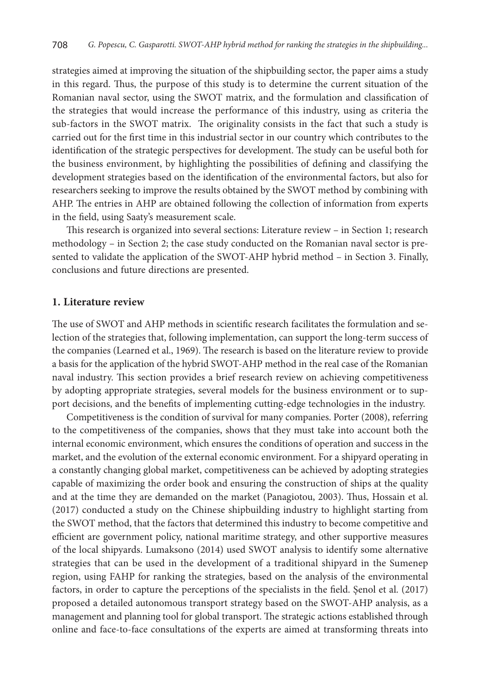strategies aimed at improving the situation of the shipbuilding sector, the paper aims a study in this regard. Thus, the purpose of this study is to determine the current situation of the Romanian naval sector, using the SWOT matrix, and the formulation and classification of the strategies that would increase the performance of this industry, using as criteria the sub-factors in the SWOT matrix. The originality consists in the fact that such a study is carried out for the first time in this industrial sector in our country which contributes to the identification of the strategic perspectives for development. The study can be useful both for the business environment, by highlighting the possibilities of defining and classifying the development strategies based on the identification of the environmental factors, but also for researchers seeking to improve the results obtained by the SWOT method by combining with AHP. The entries in AHP are obtained following the collection of information from experts in the field, using Saaty's measurement scale.

This research is organized into several sections: Literature review – in Section 1; research methodology – in Section 2; the case study conducted on the Romanian naval sector is presented to validate the application of the SWOT-AHP hybrid method – in Section 3. Finally, conclusions and future directions are presented.

## **1. Literature review**

The use of SWOT and AHP methods in scientific research facilitates the formulation and selection of the strategies that, following implementation, can support the long-term success of the companies (Learned et al., 1969). The research is based on the literature review to provide a basis for the application of the hybrid SWOT-AHP method in the real case of the Romanian naval industry. This section provides a brief research review on achieving competitiveness by adopting appropriate strategies, several models for the business environment or to support decisions, and the benefits of implementing cutting-edge technologies in the industry.

Competitiveness is the condition of survival for many companies. Porter (2008), referring to the competitiveness of the companies, shows that they must take into account both the internal economic environment, which ensures the conditions of operation and success in the market, and the evolution of the external economic environment. For a shipyard operating in a constantly changing global market, competitiveness can be achieved by adopting strategies capable of maximizing the order book and ensuring the construction of ships at the quality and at the time they are demanded on the market (Panagiotou, 2003). Thus, Hossain et al. (2017) conducted a study on the Chinese shipbuilding industry to highlight starting from the SWOT method, that the factors that determined this industry to become competitive and efficient are government policy, national maritime strategy, and other supportive measures of the local shipyards. Lumaksono (2014) used SWOT analysis to identify some alternative strategies that can be used in the development of a traditional shipyard in the Sumenep region, using FAHP for ranking the strategies, based on the analysis of the environmental factors, in order to capture the perceptions of the specialists in the field. Şenol et al. (2017) proposed a detailed autonomous transport strategy based on the SWOT-AHP analysis, as a management and planning tool for global transport. The strategic actions established through online and face-to-face consultations of the experts are aimed at transforming threats into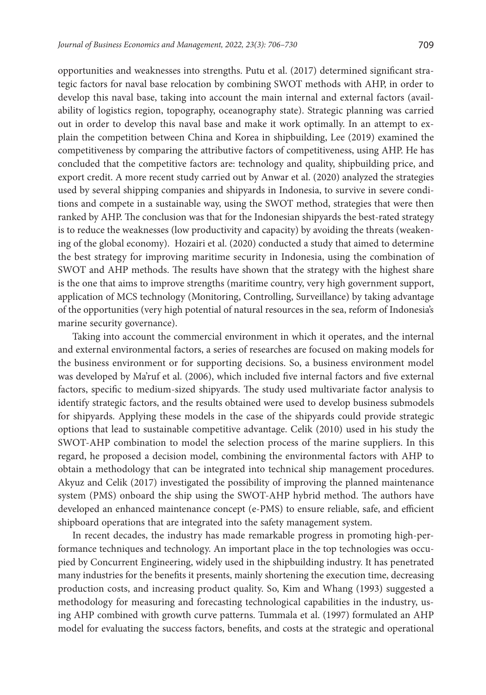opportunities and weaknesses into strengths. Putu et al. (2017) determined significant strategic factors for naval base relocation by combining SWOT methods with AHP, in order to develop this naval base, taking into account the main internal and external factors (availability of logistics region, topography, oceanography state). Strategic planning was carried out in order to develop this naval base and make it work optimally. In an attempt to explain the competition between China and Korea in shipbuilding, Lee (2019) examined the competitiveness by comparing the attributive factors of competitiveness, using AHP. He has concluded that the competitive factors are: technology and quality, shipbuilding price, and export credit. A more recent study carried out by Anwar et al. (2020) analyzed the strategies used by several shipping companies and shipyards in Indonesia, to survive in severe conditions and compete in a sustainable way, using the SWOT method, strategies that were then ranked by AHP. The conclusion was that for the Indonesian shipyards the best-rated strategy is to reduce the weaknesses (low productivity and capacity) by avoiding the threats (weakening of the global economy). Hozairi et al. (2020) conducted a study that aimed to determine the best strategy for improving maritime security in Indonesia, using the combination of SWOT and AHP methods. The results have shown that the strategy with the highest share is the one that aims to improve strengths (maritime country, very high government support, application of MCS technology (Monitoring, Controlling, Surveillance) by taking advantage of the opportunities (very high potential of natural resources in the sea, reform of Indonesia's marine security governance).

Taking into account the commercial environment in which it operates, and the internal and external environmental factors, a series of researches are focused on making models for the business environment or for supporting decisions. So, a business environment model was developed by Ma'ruf et al. (2006), which included five internal factors and five external factors, specific to medium-sized shipyards. The study used multivariate factor analysis to identify strategic factors, and the results obtained were used to develop business submodels for shipyards. Applying these models in the case of the shipyards could provide strategic options that lead to sustainable competitive advantage. Celik (2010) used in his study the SWOT-AHP combination to model the selection process of the marine suppliers. In this regard, he proposed a decision model, combining the environmental factors with AHP to obtain a methodology that can be integrated into technical ship management procedures. Akyuz and Celik (2017) investigated the possibility of improving the planned maintenance system (PMS) onboard the ship using the SWOT-AHP hybrid method. The authors have developed an enhanced maintenance concept (e-PMS) to ensure reliable, safe, and efficient shipboard operations that are integrated into the safety management system.

In recent decades, the industry has made remarkable progress in promoting high-performance techniques and technology. An important place in the top technologies was occupied by Concurrent Engineering, widely used in the shipbuilding industry. It has penetrated many industries for the benefits it presents, mainly shortening the execution time, decreasing production costs, and increasing product quality. So, Kim and Whang (1993) suggested a methodology for measuring and forecasting technological capabilities in the industry, using AHP combined with growth curve patterns. Tummala et al. (1997) formulated an AHP model for evaluating the success factors, benefits, and costs at the strategic and operational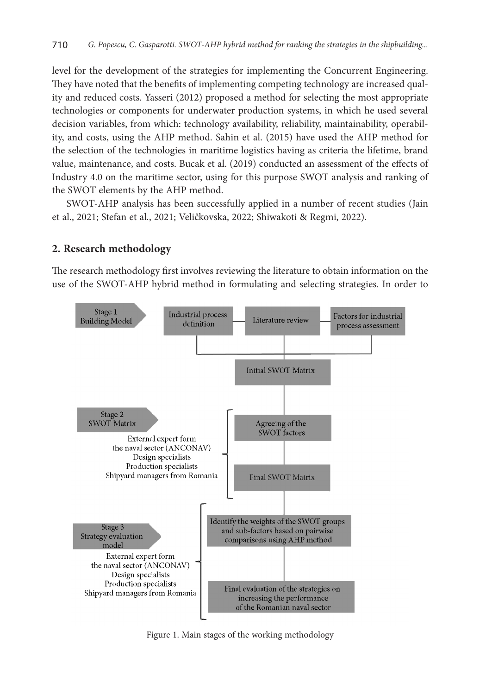level for the development of the strategies for implementing the Concurrent Engineering. They have noted that the benefits of implementing competing technology are increased quality and reduced costs. Yasseri (2012) proposed a method for selecting the most appropriate technologies or components for underwater production systems, in which he used several decision variables, from which: technology availability, reliability, maintainability, operability, and costs, using the AHP method. Sahin et al. (2015) have used the AHP method for the selection of the technologies in maritime logistics having as criteria the lifetime, brand value, maintenance, and costs. Bucak et al. (2019) conducted an assessment of the effects of Industry 4.0 on the maritime sector, using for this purpose SWOT analysis and ranking of the SWOT elements by the AHP method.

SWOT-AHP analysis has been successfully applied in a number of recent studies (Jain et al., 2021; Stefan et al., 2021; Veličkovska, 2022; Shiwakoti & Regmi, 2022).

## **2. Research methodology**

The research methodology first involves reviewing the literature to obtain information on the use of the SWOT-AHP hybrid method in formulating and selecting strategies. In order to



Figure 1. Main stages of the working methodology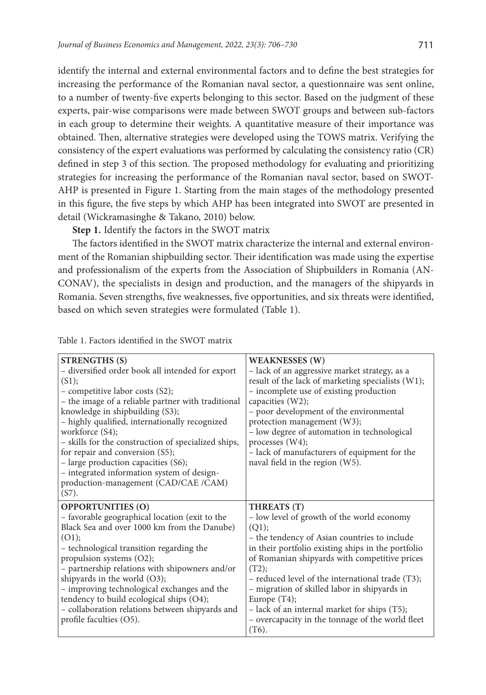identify the internal and external environmental factors and to define the best strategies for increasing the performance of the Romanian naval sector, a questionnaire was sent online, to a number of twenty-five experts belonging to this sector. Based on the judgment of these experts, pair-wise comparisons were made between SWOT groups and between sub-factors in each group to determine their weights. A quantitative measure of their importance was obtained. Then, alternative strategies were developed using the TOWS matrix. Verifying the consistency of the expert evaluations was performed by calculating the consistency ratio (CR) defined in step 3 of this section. The proposed methodology for evaluating and prioritizing strategies for increasing the performance of the Romanian naval sector, based on SWOT-AHP is presented in Figure 1. Starting from the main stages of the methodology presented in this figure, the five steps by which AHP has been integrated into SWOT are presented in detail (Wickramasinghe & Takano, 2010) below.

**Step 1.** Identify the factors in the SWOT matrix

The factors identified in the SWOT matrix characterize the internal and external environment of the Romanian shipbuilding sector. Their identification was made using the expertise and professionalism of the experts from the Association of Shipbuilders in Romania (AN-CONAV), the specialists in design and production, and the managers of the shipyards in Romania. Seven strengths, five weaknesses, five opportunities, and six threats were identified, based on which seven strategies were formulated (Table 1).

| <b>STRENGTHS (S)</b><br>- diversified order book all intended for export<br>(S1);<br>- competitive labor costs (S2);<br>- the image of a reliable partner with traditional<br>knowledge in shipbuilding (S3);<br>- highly qualified, internationally recognized<br>workforce (S4);<br>- skills for the construction of specialized ships,<br>for repair and conversion (S5);<br>- large production capacities (S6);<br>- integrated information system of design-<br>production-management (CAD/CAE /CAM)<br>$(S7)$ . | <b>WEAKNESSES (W)</b><br>- lack of an aggressive market strategy, as a<br>result of the lack of marketing specialists (W1);<br>- incomplete use of existing production<br>capacities (W2);<br>- poor development of the environmental<br>protection management (W3);<br>- low degree of automation in technological<br>processes (W4);<br>- lack of manufacturers of equipment for the<br>naval field in the region (W5).                                                 |
|-----------------------------------------------------------------------------------------------------------------------------------------------------------------------------------------------------------------------------------------------------------------------------------------------------------------------------------------------------------------------------------------------------------------------------------------------------------------------------------------------------------------------|---------------------------------------------------------------------------------------------------------------------------------------------------------------------------------------------------------------------------------------------------------------------------------------------------------------------------------------------------------------------------------------------------------------------------------------------------------------------------|
| <b>OPPORTUNITIES (O)</b><br>- favorable geographical location (exit to the<br>Black Sea and over 1000 km from the Danube)<br>(O1);<br>- technological transition regarding the<br>propulsion systems (O2);<br>- partnership relations with shipowners and/or<br>shipyards in the world (O3);<br>- improving technological exchanges and the<br>tendency to build ecological ships (O4);<br>- collaboration relations between shipyards and<br>profile faculties (O5).                                                 | THREATS (T)<br>- low level of growth of the world economy<br>(Q1);<br>– the tendency of Asian countries to include<br>in their portfolio existing ships in the portfolio<br>of Romanian shipyards with competitive prices<br>(T2);<br>- reduced level of the international trade (T3);<br>- migration of skilled labor in shipyards in<br>Europe $(T4)$ ;<br>- lack of an internal market for ships (T5);<br>- overcapacity in the tonnage of the world fleet<br>$(T6)$ . |

#### Table 1. Factors identified in the SWOT matrix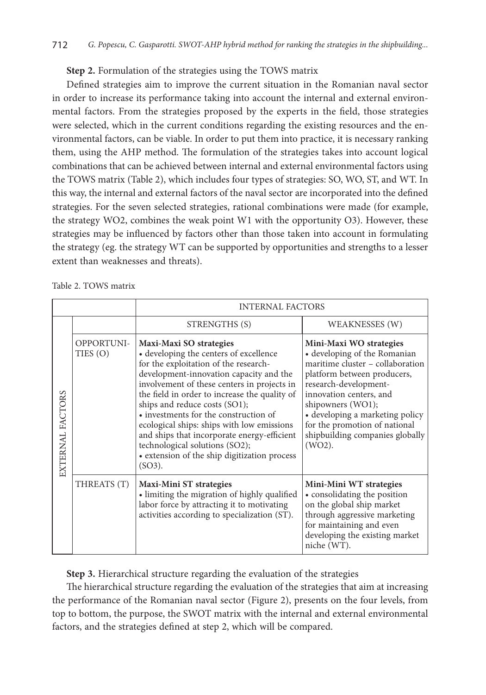## **Step 2.** Formulation of the strategies using the TOWS matrix

Defined strategies aim to improve the current situation in the Romanian naval sector in order to increase its performance taking into account the internal and external environmental factors. From the strategies proposed by the experts in the field, those strategies were selected, which in the current conditions regarding the existing resources and the environmental factors, can be viable. In order to put them into practice, it is necessary ranking them, using the AHP method. The formulation of the strategies takes into account logical combinations that can be achieved between internal and external environmental factors using the TOWS matrix (Table 2), which includes four types of strategies: SO, WO, ST, and WT. In this way, the internal and external factors of the naval sector are incorporated into the defined strategies. For the seven selected strategies, rational combinations were made (for example, the strategy WO2, combines the weak point W1 with the opportunity O3). However, these strategies may be influenced by factors other than those taken into account in formulating the strategy (eg. the strategy WT can be supported by opportunities and strengths to a lesser extent than weaknesses and threats).

|                  |                        | <b>INTERNAL FACTORS</b>                                                                                                                                                                                                                                                                                                                                                                                                                                                                                                     |                                                                                                                                                                                                                                                                                                                         |
|------------------|------------------------|-----------------------------------------------------------------------------------------------------------------------------------------------------------------------------------------------------------------------------------------------------------------------------------------------------------------------------------------------------------------------------------------------------------------------------------------------------------------------------------------------------------------------------|-------------------------------------------------------------------------------------------------------------------------------------------------------------------------------------------------------------------------------------------------------------------------------------------------------------------------|
|                  |                        | STRENGTHS (S)                                                                                                                                                                                                                                                                                                                                                                                                                                                                                                               | WEAKNESSES (W)                                                                                                                                                                                                                                                                                                          |
| EXTERNAL FACTORS | OPPORTUNI-<br>TIES (O) | Maxi-Maxi SO strategies<br>• developing the centers of excellence<br>for the exploitation of the research-<br>development-innovation capacity and the<br>involvement of these centers in projects in<br>the field in order to increase the quality of<br>ships and reduce costs (SO1);<br>• investments for the construction of<br>ecological ships: ships with low emissions<br>and ships that incorporate energy-efficient<br>technological solutions (SO2);<br>• extension of the ship digitization process<br>$(SO3)$ . | Mini-Maxi WO strategies<br>• developing of the Romanian<br>maritime cluster - collaboration<br>platform between producers,<br>research-development-<br>innovation centers, and<br>shipowners (WO1);<br>• developing a marketing policy<br>for the promotion of national<br>shipbuilding companies globally<br>$(WO2)$ . |
|                  | THREATS (T)            | Maxi-Mini ST strategies<br>• limiting the migration of highly qualified<br>labor force by attracting it to motivating<br>activities according to specialization (ST).                                                                                                                                                                                                                                                                                                                                                       | Mini-Mini WT strategies<br>• consolidating the position<br>on the global ship market<br>through aggressive marketing<br>for maintaining and even<br>developing the existing market<br>niche (WT).                                                                                                                       |

**Step 3.** Hierarchical structure regarding the evaluation of the strategies

The hierarchical structure regarding the evaluation of the strategies that aim at increasing the performance of the Romanian naval sector (Figure 2), presents on the four levels, from top to bottom, the purpose, the SWOT matrix with the internal and external environmental factors, and the strategies defined at step 2, which will be compared.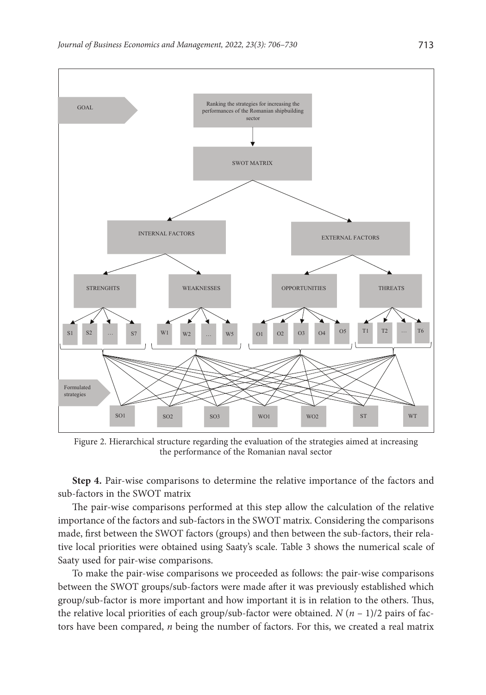

Figure 2. Hierarchical structure regarding the evaluation of the strategies aimed at increasing the performance of the Romanian naval sector

**Step 4.** Pair-wise comparisons to determine the relative importance of the factors and sub-factors in the SWOT matrix

The pair-wise comparisons performed at this step allow the calculation of the relative importance of the factors and sub-factors in the SWOT matrix. Considering the comparisons made, first between the SWOT factors (groups) and then between the sub-factors, their relative local priorities were obtained using Saaty's scale. Table 3 shows the numerical scale of Saaty used for pair-wise comparisons.

To make the pair-wise comparisons we proceeded as follows: the pair-wise comparisons between the SWOT groups/sub-factors were made after it was previously established which group/sub-factor is more important and how important it is in relation to the others. Thus, the relative local priorities of each group/sub-factor were obtained. *N* (*n* – 1)/2 pairs of factors have been compared, *n* being the number of factors. For this, we created a real matrix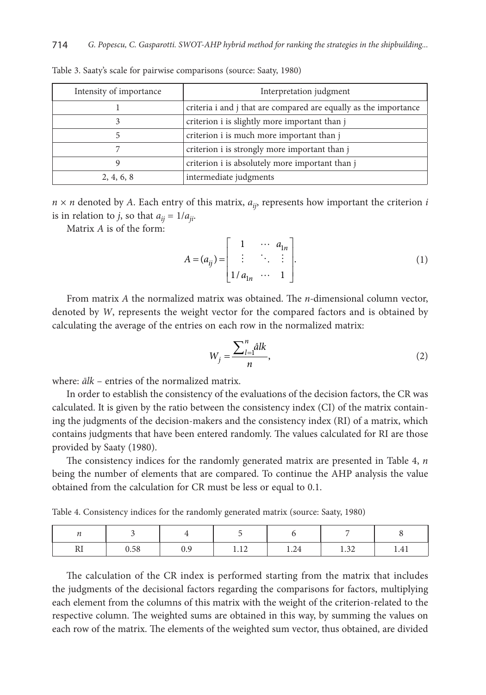| Intensity of importance | Interpretation judgment                                          |
|-------------------------|------------------------------------------------------------------|
|                         | criteria i and j that are compared are equally as the importance |
|                         | criterion i is slightly more important than j                    |
|                         | criterion i is much more important than j                        |
|                         | criterion i is strongly more important than j                    |
|                         | criterion i is absolutely more important than j                  |
| 2, 4, 6, 8              | intermediate judgments                                           |

Table 3. Saaty's scale for pairwise comparisons (source: Saaty, 1980)

 $n \times n$  denoted by *A*. Each entry of this matrix,  $a_{ij}$ , represents how important the criterion *i* is in relation to *j*, so that  $a_{ij} = 1/a_{ji}$ .

Matrix *A* is of the form:

$$
A = (a_{ij}) = \begin{bmatrix} 1 & \cdots & a_{1n} \\ \vdots & \ddots & \vdots \\ 1/a_{1n} & \cdots & 1 \end{bmatrix}.
$$
 (1)

From matrix *A* the normalized matrix was obtained. The *n-*dimensional column vector, denoted by *W*, represents the weight vector for the compared factors and is obtained by calculating the average of the entries on each row in the normalized matrix:

$$
W_j = \frac{\sum_{l=1}^n \hat{a} l k}{n},\tag{2}
$$

where: *ālk* – entries of the normalized matrix.

In order to establish the consistency of the evaluations of the decision factors, the CR was calculated. It is given by the ratio between the consistency index (CI) of the matrix containing the judgments of the decision-makers and the consistency index (RI) of a matrix, which contains judgments that have been entered randomly. The values calculated for RI are those provided by Saaty (1980).

The consistency indices for the randomly generated matrix are presented in Table 4, *n* being the number of elements that are compared. To continue the AHP analysis the value obtained from the calculation for CR must be less or equal to 0.1.

Table 4. Consistency indices for the randomly generated matrix (source: Saaty, 1980)

| <br>0.58 | <b></b> | $\gamma_A$<br>1.4T | $\sim$<br>$\cdots$ |  |
|----------|---------|--------------------|--------------------|--|

The calculation of the CR index is performed starting from the matrix that includes the judgments of the decisional factors regarding the comparisons for factors, multiplying each element from the columns of this matrix with the weight of the criterion-related to the respective column. The weighted sums are obtained in this way, by summing the values on each row of the matrix. The elements of the weighted sum vector, thus obtained, are divided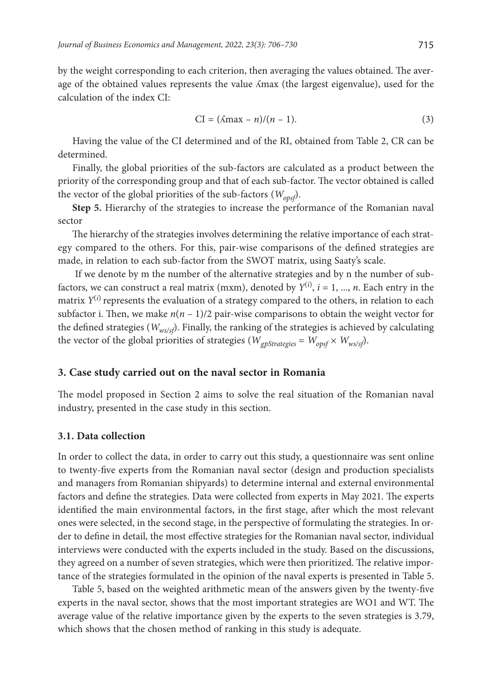by the weight corresponding to each criterion, then averaging the values obtained. The average of the obtained values represents the value ʎmax (the largest eigenvalue), used for the calculation of the index CI:

$$
CI = (\Lambda max - n)/(n - 1). \tag{3}
$$

Having the value of the CI determined and of the RI, obtained from Table 2, CR can be determined.

Finally, the global priorities of the sub-factors are calculated as a product between the priority of the corresponding group and that of each sub-factor. The vector obtained is called the vector of the global priorities of the sub-factors (*Wopsf*).

**Step 5.** Hierarchy of the strategies to increase the performance of the Romanian naval sector

The hierarchy of the strategies involves determining the relative importance of each strategy compared to the others. For this, pair-wise comparisons of the defined strategies are made, in relation to each sub-factor from the SWOT matrix, using Saaty's scale.

 If we denote by m the number of the alternative strategies and by n the number of subfactors, we can construct a real matrix (mxm), denoted by  $Y^{(i)}$ ,  $i = 1, ..., n$ . Each entry in the matrix  $Y^{(i)}$  represents the evaluation of a strategy compared to the others, in relation to each subfactor i. Then, we make  $n(n - 1)/2$  pair-wise comparisons to obtain the weight vector for the defined strategies (*Wws/sf*). Finally, the ranking of the strategies is achieved by calculating the vector of the global priorities of strategies ( $W_{\varrho\text{D}Strategy}} = W_{\text{opsf}} \times W_{\text{ws/sf}}$ ).

#### **3. Case study carried out on the naval sector in Romania**

The model proposed in Section 2 aims to solve the real situation of the Romanian naval industry, presented in the case study in this section.

### **3.1. Data collection**

In order to collect the data, in order to carry out this study, a questionnaire was sent online to twenty-five experts from the Romanian naval sector (design and production specialists and managers from Romanian shipyards) to determine internal and external environmental factors and define the strategies. Data were collected from experts in May 2021. The experts identified the main environmental factors, in the first stage, after which the most relevant ones were selected, in the second stage, in the perspective of formulating the strategies. In order to define in detail, the most effective strategies for the Romanian naval sector, individual interviews were conducted with the experts included in the study. Based on the discussions, they agreed on a number of seven strategies, which were then prioritized. The relative importance of the strategies formulated in the opinion of the naval experts is presented in Table 5.

Table 5, based on the weighted arithmetic mean of the answers given by the twenty-five experts in the naval sector, shows that the most important strategies are WO1 and WT. The average value of the relative importance given by the experts to the seven strategies is 3.79, which shows that the chosen method of ranking in this study is adequate.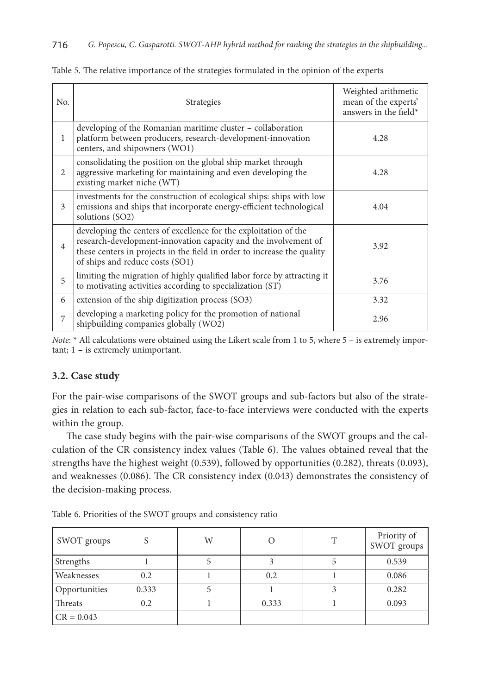| No. | <b>Strategies</b>                                                                                                                                                                                                                                 | Weighted arithmetic<br>mean of the experts'<br>answers in the field* |
|-----|---------------------------------------------------------------------------------------------------------------------------------------------------------------------------------------------------------------------------------------------------|----------------------------------------------------------------------|
| 1   | developing of the Romanian maritime cluster – collaboration<br>platform between producers, research-development-innovation<br>centers, and shipowners (WO1)                                                                                       | 4.28                                                                 |
| 2   | consolidating the position on the global ship market through<br>aggressive marketing for maintaining and even developing the<br>existing market niche (WT)                                                                                        | 4.28                                                                 |
| 3   | investments for the construction of ecological ships: ships with low<br>emissions and ships that incorporate energy-efficient technological<br>solutions (SO2)                                                                                    | 4.04                                                                 |
| 4   | developing the centers of excellence for the exploitation of the<br>research-development-innovation capacity and the involvement of<br>these centers in projects in the field in order to increase the quality<br>of ships and reduce costs (SO1) | 3.92                                                                 |
| 5   | limiting the migration of highly qualified labor force by attracting it<br>to motivating activities according to specialization (ST)                                                                                                              | 3.76                                                                 |
| 6   | extension of the ship digitization process (SO3)                                                                                                                                                                                                  | 3.32                                                                 |
| 7   | developing a marketing policy for the promotion of national<br>shipbuilding companies globally (WO2)                                                                                                                                              | 2.96                                                                 |

Table 5. The relative importance of the strategies formulated in the opinion of the experts

*Note*: \* All calculations were obtained using the Likert scale from 1 to 5, where 5 – is extremely important; 1 – is extremely unimportant.

## **3.2. Case study**

For the pair-wise comparisons of the SWOT groups and sub-factors but also of the strategies in relation to each sub-factor, face-to-face interviews were conducted with the experts within the group.

The case study begins with the pair-wise comparisons of the SWOT groups and the calculation of the CR consistency index values (Table 6). The values obtained reveal that the strengths have the highest weight (0.539), followed by opportunities (0.282), threats (0.093), and weaknesses (0.086). The CR consistency index (0.043) demonstrates the consistency of the decision-making process.

Table 6. Priorities of the SWOT groups and consistency ratio

| SWOT groups   | c     | W |       | T | Priority of<br>SWOT groups |
|---------------|-------|---|-------|---|----------------------------|
| Strengths     |       |   |       |   | 0.539                      |
| Weaknesses    | 0.2   |   | 0.2   |   | 0.086                      |
| Opportunities | 0.333 |   |       |   | 0.282                      |
| Threats       | 0.2   |   | 0.333 |   | 0.093                      |
| $CR = 0.043$  |       |   |       |   |                            |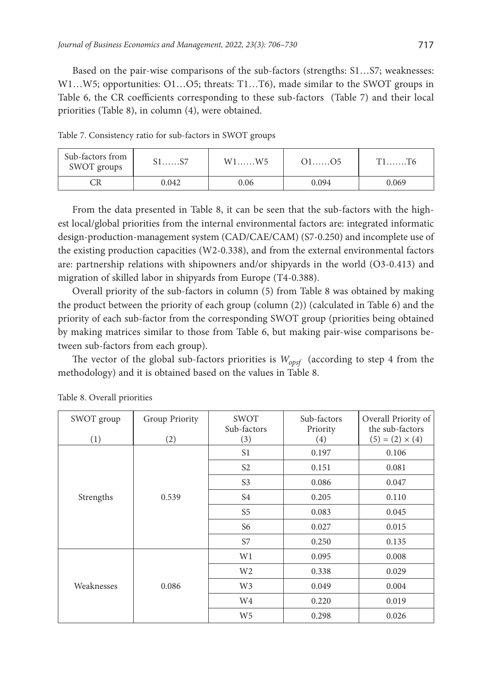Based on the pair-wise comparisons of the sub-factors (strengths: S1…S7; weaknesses: W1…W5; opportunities: O1…O5; threats: T1…T6), made similar to the SWOT groups in Table 6, the CR coefficients corresponding to these sub-factors (Table 7) and their local priorities (Table 8), in column (4), were obtained.

| Sub-factors from<br>SWOT groups | $S1$ $S7$ | $W1$ $W5$ | $O1$ $O5$ |       |
|---------------------------------|-----------|-----------|-----------|-------|
|                                 | 0.042     | 0.06      | 0.094     | 0.069 |

Table 7. Consistency ratio for sub-factors in SWOT groups

From the data presented in Table 8, it can be seen that the sub-factors with the highest local/global priorities from the internal environmental factors are: integrated informatic design-production-management system (CAD/CAE/CAM) (S7-0.250) and incomplete use of the existing production capacities (W2-0.338), and from the external environmental factors are: partnership relations with shipowners and/or shipyards in the world (O3-0.413) and migration of skilled labor in shipyards from Europe (T4-0.388).

Overall priority of the sub-factors in column (5) from Table 8 was obtained by making the product between the priority of each group (column (2)) (calculated in Table 6) and the priority of each sub-factor from the corresponding SWOT group (priorities being obtained by making matrices similar to those from Table 6, but making pair-wise comparisons between sub-factors from each group).

The vector of the global sub-factors priorities is  $W_{opsf}$  (according to step 4 from the methodology) and it is obtained based on the values in Table 8.

| SWOT group | Group Priority | SWOT<br>Sub-factors | Sub-factors<br>Priority | Overall Priority of<br>the sub-factors |
|------------|----------------|---------------------|-------------------------|----------------------------------------|
| (1)        | (2)            | (3)                 | (4)                     | $(5) = (2) \times (4)$                 |
|            |                | S1                  | 0.197                   | 0.106                                  |
|            |                | S <sub>2</sub>      | 0.151                   | 0.081                                  |
|            |                | S <sub>3</sub>      | 0.086                   | 0.047                                  |
| Strengths  | 0.539          | S <sub>4</sub>      | 0.205                   | 0.110                                  |
|            |                | S <sub>5</sub>      | 0.083                   | 0.045                                  |
|            |                | S6                  | 0.027                   | 0.015                                  |
|            |                | S7                  | 0.250                   | 0.135                                  |
|            |                | W1                  | 0.095                   | 0.008                                  |
|            |                | W <sub>2</sub>      | 0.338                   | 0.029                                  |
| Weaknesses | 0.086          | W <sub>3</sub>      | 0.049                   | 0.004                                  |
|            |                | W4                  | 0.220                   | 0.019                                  |
|            |                | W <sub>5</sub>      | 0.298                   | 0.026                                  |

Table 8. Overall priorities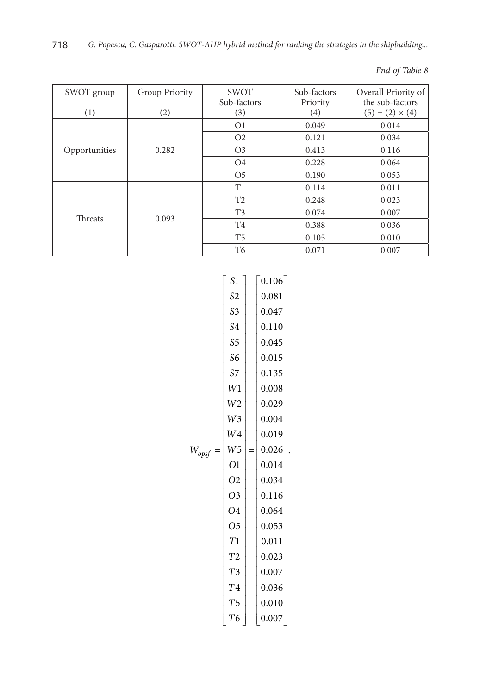| SWOT group<br>(1) | Group Priority<br>(2) | <b>SWOT</b><br>Sub-factors<br>(3) | Sub-factors<br>Priority<br>(4) | Overall Priority of<br>the sub-factors<br>$(5) = (2) \times (4)$ |
|-------------------|-----------------------|-----------------------------------|--------------------------------|------------------------------------------------------------------|
|                   |                       | O <sub>1</sub>                    | 0.049                          | 0.014                                                            |
|                   |                       | O <sub>2</sub>                    | 0.121                          | 0.034                                                            |
| Opportunities     | 0.282                 | O <sub>3</sub>                    | 0.413                          | 0.116                                                            |
|                   |                       | O <sub>4</sub>                    | 0.228                          | 0.064                                                            |
|                   |                       | O <sub>5</sub>                    | 0.190                          | 0.053                                                            |
|                   |                       | T1                                | 0.114                          | 0.011                                                            |
| <b>Threats</b>    | 0.093                 | T <sub>2</sub>                    | 0.248                          | 0.023                                                            |
|                   |                       | T3                                | 0.074                          | 0.007                                                            |
|                   |                       | T4                                | 0.388                          | 0.036                                                            |
|                   |                       | T <sub>5</sub>                    | 0.105                          | 0.010                                                            |
|                   |                       | T6                                | 0.071                          | 0.007                                                            |

| S1             | 0.106 |  |
|----------------|-------|--|
| S <sub>2</sub> | 0.081 |  |
| S <sub>3</sub> | 0.047 |  |
| S4             | 0.110 |  |
| S <sub>5</sub> | 0.045 |  |
| S6             | 0.015 |  |
| S <sub>7</sub> | 0.135 |  |
| W1             | 0.008 |  |
| W <sub>2</sub> | 0.029 |  |
| W <sub>3</sub> | 0.004 |  |
| W <sub>4</sub> | 0.019 |  |
| W <sub>5</sub> | 0.026 |  |
| O <sub>1</sub> | 0.014 |  |
| 02             | 0.034 |  |
| O <sub>3</sub> | 0.116 |  |
| O4             | 0.064 |  |
| O <sub>5</sub> | 0.053 |  |
| T1             | 0.011 |  |
| T <sub>2</sub> | 0.023 |  |
| T <sub>3</sub> | 0.007 |  |
| T <sub>4</sub> | 0.036 |  |
| T <sub>5</sub> | 0.010 |  |
| T <sub>6</sub> | 0.007 |  |
|                |       |  |

*End of Table 8*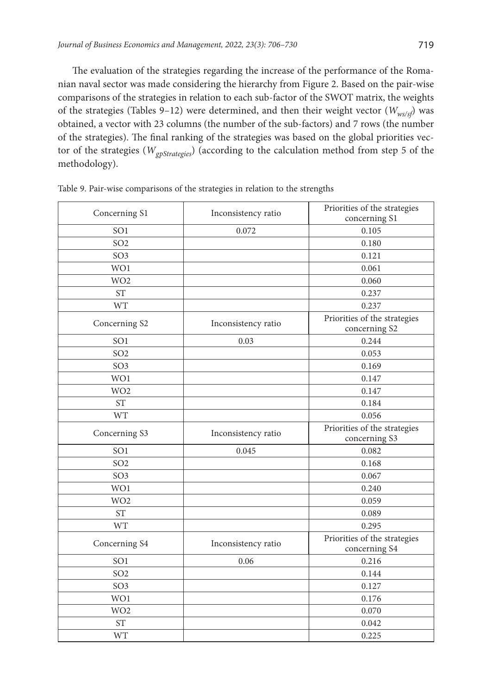The evaluation of the strategies regarding the increase of the performance of the Romanian naval sector was made considering the hierarchy from Figure 2. Based on the pair-wise comparisons of the strategies in relation to each sub-factor of the SWOT matrix, the weights of the strategies (Tables 9–12) were determined, and then their weight vector (*Wws/sf*) was obtained, a vector with 23 columns (the number of the sub-factors) and 7 rows (the number of the strategies). The final ranking of the strategies was based on the global priorities vector of the strategies (*WgpStrategies*) (according to the calculation method from step 5 of the methodology).

| Concerning S1   | Inconsistency ratio | Priorities of the strategies<br>concerning S1 |
|-----------------|---------------------|-----------------------------------------------|
| SO <sub>1</sub> | 0.072               | 0.105                                         |
| SO <sub>2</sub> |                     | 0.180                                         |
| SO <sub>3</sub> |                     | 0.121                                         |
| WO1             |                     | 0.061                                         |
| WO <sub>2</sub> |                     | 0.060                                         |
| <b>ST</b>       |                     | 0.237                                         |
| <b>WT</b>       |                     | 0.237                                         |
| Concerning S2   | Inconsistency ratio | Priorities of the strategies<br>concerning S2 |
| SO <sub>1</sub> | 0.03                | 0.244                                         |
| SO <sub>2</sub> |                     | 0.053                                         |
| SO <sub>3</sub> |                     | 0.169                                         |
| WO1             |                     | 0.147                                         |
| WO <sub>2</sub> |                     | 0.147                                         |
| <b>ST</b>       |                     | 0.184                                         |
| <b>WT</b>       |                     | 0.056                                         |
| Concerning S3   | Inconsistency ratio | Priorities of the strategies<br>concerning S3 |
| SO <sub>1</sub> | 0.045               | 0.082                                         |
| SO <sub>2</sub> |                     | 0.168                                         |
| SO <sub>3</sub> |                     | 0.067                                         |
| WO1             |                     | 0.240                                         |
| WO <sub>2</sub> |                     | 0.059                                         |
| <b>ST</b>       |                     | 0.089                                         |
| <b>WT</b>       |                     | 0.295                                         |
| Concerning S4   | Inconsistency ratio | Priorities of the strategies<br>concerning S4 |
| SO <sub>1</sub> | 0.06                | 0.216                                         |
| SO <sub>2</sub> |                     | 0.144                                         |
| SO <sub>3</sub> |                     | 0.127                                         |
| WO1             |                     | 0.176                                         |
| WO <sub>2</sub> |                     | 0.070                                         |
| <b>ST</b>       |                     | 0.042                                         |
| <b>WT</b>       |                     | 0.225                                         |

Table 9. Pair-wise comparisons of the strategies in relation to the strengths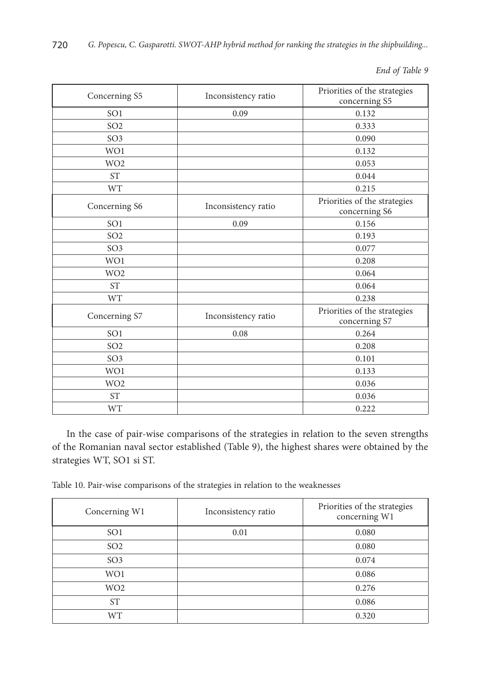*End of Table 9*

| Concerning S5   | Inconsistency ratio | Priorities of the strategies<br>concerning S5 |
|-----------------|---------------------|-----------------------------------------------|
| SO <sub>1</sub> | 0.09                | 0.132                                         |
| SO <sub>2</sub> |                     | 0.333                                         |
| SO <sub>3</sub> |                     | 0.090                                         |
| WO1             |                     | 0.132                                         |
| WO <sub>2</sub> |                     | 0.053                                         |
| <b>ST</b>       |                     | 0.044                                         |
| <b>WT</b>       |                     | 0.215                                         |
| Concerning S6   | Inconsistency ratio | Priorities of the strategies<br>concerning S6 |
| SO <sub>1</sub> | 0.09                | 0.156                                         |
| SO <sub>2</sub> |                     | 0.193                                         |
| SO <sub>3</sub> |                     | 0.077                                         |
| WO1             |                     | 0.208                                         |
| WO <sub>2</sub> |                     | 0.064                                         |
| <b>ST</b>       |                     | 0.064                                         |
| <b>WT</b>       |                     | 0.238                                         |
| Concerning S7   | Inconsistency ratio | Priorities of the strategies<br>concerning S7 |
| SO <sub>1</sub> | 0.08                | 0.264                                         |
| SO <sub>2</sub> |                     | 0.208                                         |
| SO <sub>3</sub> |                     | 0.101                                         |
| WO1             |                     | 0.133                                         |
| WO <sub>2</sub> |                     | 0.036                                         |
| <b>ST</b>       |                     | 0.036                                         |
| <b>WT</b>       |                     | 0.222                                         |

In the case of pair-wise comparisons of the strategies in relation to the seven strengths of the Romanian naval sector established (Table 9), the highest shares were obtained by the strategies WT, SO1 si ST.

Table 10. Pair-wise comparisons of the strategies in relation to the weaknesses

| Concerning W1   | Inconsistency ratio | Priorities of the strategies<br>concerning W1 |
|-----------------|---------------------|-----------------------------------------------|
| SO <sub>1</sub> | 0.01                | 0.080                                         |
| SO <sub>2</sub> |                     | 0.080                                         |
| SO <sub>3</sub> |                     | 0.074                                         |
| WO1             |                     | 0.086                                         |
| WO <sub>2</sub> |                     | 0.276                                         |
| <b>ST</b>       |                     | 0.086                                         |
| <b>WT</b>       |                     | 0.320                                         |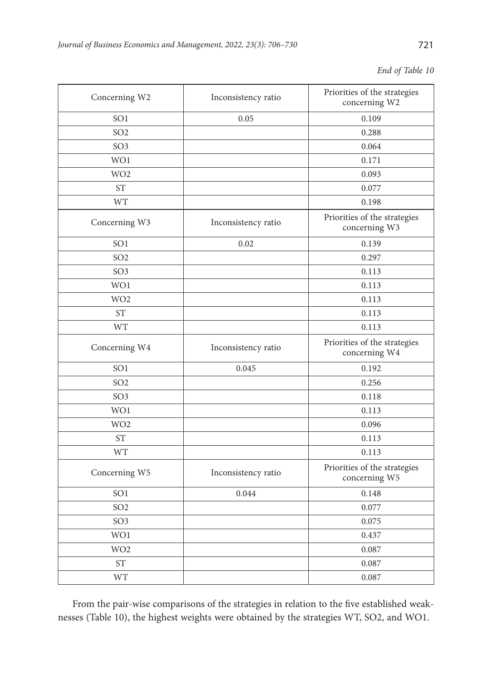|  |  | End of Table 10 |  |
|--|--|-----------------|--|
|--|--|-----------------|--|

| Concerning W2   | Inconsistency ratio | Priorities of the strategies<br>concerning W2 |
|-----------------|---------------------|-----------------------------------------------|
| SO <sub>1</sub> | 0.05                | 0.109                                         |
| SO <sub>2</sub> |                     | 0.288                                         |
| SO <sub>3</sub> |                     | 0.064                                         |
| WO1             |                     | 0.171                                         |
| WO <sub>2</sub> |                     | 0.093                                         |
| <b>ST</b>       |                     | 0.077                                         |
| <b>WT</b>       |                     | 0.198                                         |
| Concerning W3   | Inconsistency ratio | Priorities of the strategies<br>concerning W3 |
| SO <sub>1</sub> | 0.02                | 0.139                                         |
| SO <sub>2</sub> |                     | 0.297                                         |
| SO <sub>3</sub> |                     | 0.113                                         |
| WO1             |                     | 0.113                                         |
| WO <sub>2</sub> |                     | 0.113                                         |
| <b>ST</b>       |                     | 0.113                                         |
| <b>WT</b>       |                     | 0.113                                         |
| Concerning W4   | Inconsistency ratio | Priorities of the strategies<br>concerning W4 |
| SO <sub>1</sub> | 0.045               | 0.192                                         |
| SO <sub>2</sub> |                     | 0.256                                         |
| SO <sub>3</sub> |                     | 0.118                                         |
| WO1             |                     | 0.113                                         |
| WO <sub>2</sub> |                     | 0.096                                         |
| <b>ST</b>       |                     | 0.113                                         |
| <b>WT</b>       |                     | 0.113                                         |
| Concerning W5   | Inconsistency ratio | Priorities of the strategies<br>concerning W5 |
| SO <sub>1</sub> | 0.044               | 0.148                                         |
| SO <sub>2</sub> |                     | 0.077                                         |
| SO <sub>3</sub> |                     | 0.075                                         |
| WO1             |                     | 0.437                                         |
| WO <sub>2</sub> |                     | 0.087                                         |
| <b>ST</b>       |                     | 0.087                                         |
| <b>WT</b>       |                     | 0.087                                         |

From the pair-wise comparisons of the strategies in relation to the five established weaknesses (Table 10), the highest weights were obtained by the strategies WT, SO2, and WO1.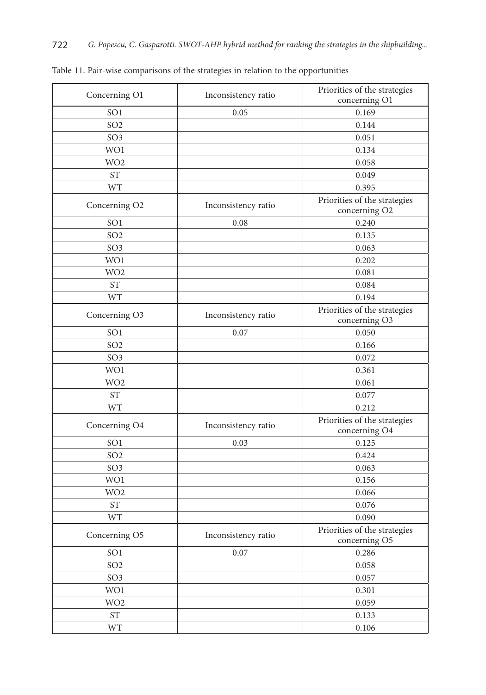| Concerning O1             | Inconsistency ratio | Priorities of the strategies                  |
|---------------------------|---------------------|-----------------------------------------------|
|                           |                     | concerning O1                                 |
| SO <sub>1</sub>           | 0.05                | 0.169                                         |
| SO <sub>2</sub>           |                     | 0.144                                         |
| SO <sub>3</sub>           |                     | 0.051                                         |
| WO1                       |                     | 0.134                                         |
| WO <sub>2</sub>           |                     | 0.058                                         |
| <b>ST</b>                 |                     | 0.049                                         |
| <b>WT</b>                 |                     | 0.395                                         |
| Concerning O <sub>2</sub> | Inconsistency ratio | Priorities of the strategies<br>concerning O2 |
| SO <sub>1</sub>           | 0.08                | 0.240                                         |
| SO <sub>2</sub>           |                     | 0.135                                         |
| SO <sub>3</sub>           |                     | 0.063                                         |
| WO1                       |                     | 0.202                                         |
| WO <sub>2</sub>           |                     | 0.081                                         |
| <b>ST</b>                 |                     | 0.084                                         |
| <b>WT</b>                 |                     | 0.194                                         |
| Concerning O3             |                     | Priorities of the strategies                  |
|                           | Inconsistency ratio | concerning O3                                 |
| SO <sub>1</sub>           | 0.07                | 0.050                                         |
| SO <sub>2</sub>           |                     | 0.166                                         |
| SO <sub>3</sub>           |                     | 0.072                                         |
| WO1                       |                     | 0.361                                         |
| WO <sub>2</sub>           |                     | 0.061                                         |
| <b>ST</b>                 |                     | 0.077                                         |
| <b>WT</b>                 |                     | 0.212                                         |
| Concerning O4             | Inconsistency ratio | Priorities of the strategies<br>concerning O4 |
| SO <sub>1</sub>           | 0.03                | 0.125                                         |
| SO <sub>2</sub>           |                     | 0.424                                         |
| SO <sub>3</sub>           |                     | 0.063                                         |
| WO1                       |                     | 0.156                                         |
| WO <sub>2</sub>           |                     | 0.066                                         |
| <b>ST</b>                 |                     | 0.076                                         |
| <b>WT</b>                 |                     | 0.090                                         |
|                           |                     | Priorities of the strategies                  |
| Concerning O5             | Inconsistency ratio | concerning O5                                 |
| SO <sub>1</sub>           | 0.07                | 0.286                                         |
| SO <sub>2</sub>           |                     | 0.058                                         |
| SO <sub>3</sub>           |                     | 0.057                                         |
| WO1                       |                     | 0.301                                         |
| WO <sub>2</sub>           |                     | 0.059                                         |
| $\operatorname{ST}$       |                     | 0.133                                         |
| <b>WT</b>                 |                     | 0.106                                         |

Table 11. Pair-wise comparisons of the strategies in relation to the opportunities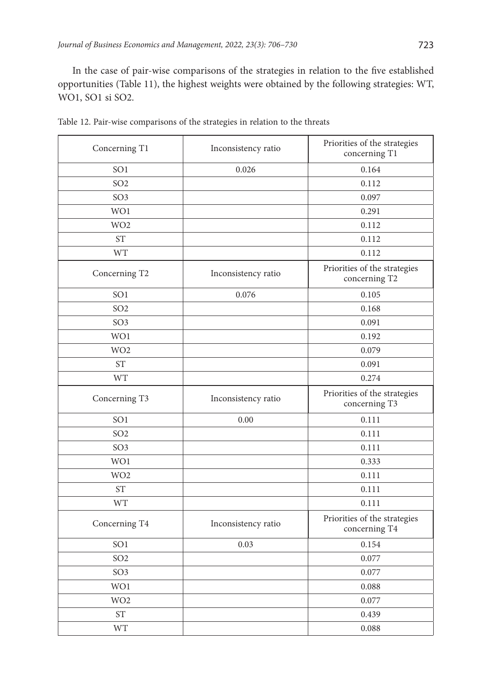In the case of pair-wise comparisons of the strategies in relation to the five established opportunities (Table 11), the highest weights were obtained by the following strategies: WT, WO1, SO1 si SO2.

| Concerning T1   | Inconsistency ratio | Priorities of the strategies<br>concerning T1 |
|-----------------|---------------------|-----------------------------------------------|
| SO <sub>1</sub> | 0.026               | 0.164                                         |
| SO <sub>2</sub> |                     | 0.112                                         |
| SO <sub>3</sub> |                     | 0.097                                         |
| WO1             |                     | 0.291                                         |
| WO <sub>2</sub> |                     | 0.112                                         |
| <b>ST</b>       |                     | 0.112                                         |
| <b>WT</b>       |                     | 0.112                                         |
| Concerning T2   | Inconsistency ratio | Priorities of the strategies<br>concerning T2 |
| SO <sub>1</sub> | 0.076               | 0.105                                         |
| SO <sub>2</sub> |                     | 0.168                                         |
| SO <sub>3</sub> |                     | 0.091                                         |
| WO1             |                     | 0.192                                         |
| WO <sub>2</sub> |                     | 0.079                                         |
| <b>ST</b>       |                     | 0.091                                         |
| <b>WT</b>       |                     | 0.274                                         |
| Concerning T3   | Inconsistency ratio | Priorities of the strategies<br>concerning T3 |
| SO <sub>1</sub> | 0.00                | 0.111                                         |
| SO <sub>2</sub> |                     | 0.111                                         |
| SO <sub>3</sub> |                     | 0.111                                         |
| WO1             |                     | 0.333                                         |
| WO <sub>2</sub> |                     | 0.111                                         |
| <b>ST</b>       |                     | 0.111                                         |
| <b>WT</b>       |                     | 0.111                                         |
| Concerning T4   | Inconsistency ratio | Priorities of the strategies<br>concerning T4 |
| SO <sub>1</sub> | 0.03                | 0.154                                         |
| SO <sub>2</sub> |                     | 0.077                                         |
| SO <sub>3</sub> |                     | 0.077                                         |
| WO1             |                     | 0.088                                         |
| WO <sub>2</sub> |                     | 0.077                                         |
| <b>ST</b>       |                     | 0.439                                         |
| WT              |                     | 0.088                                         |

Table 12. Pair-wise comparisons of the strategies in relation to the threats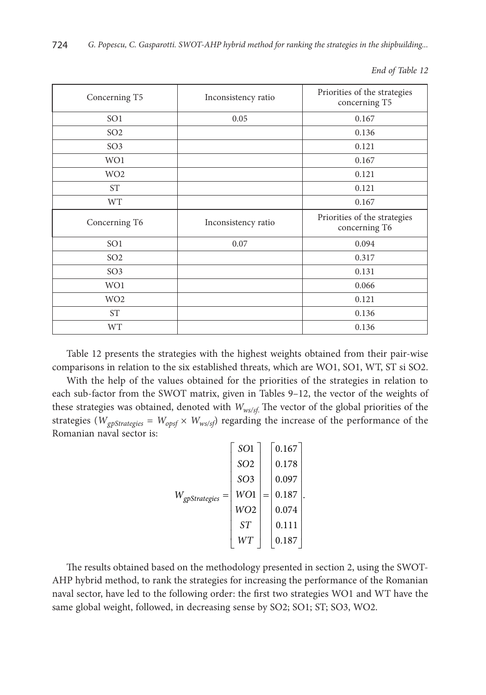| Concerning T5   | Inconsistency ratio | Priorities of the strategies<br>concerning T5 |
|-----------------|---------------------|-----------------------------------------------|
| SO <sub>1</sub> | 0.05                | 0.167                                         |
| SO <sub>2</sub> |                     | 0.136                                         |
| SO <sub>3</sub> |                     | 0.121                                         |
| WO1             |                     | 0.167                                         |
| WO <sub>2</sub> |                     | 0.121                                         |
| <b>ST</b>       |                     | 0.121                                         |
| <b>WT</b>       |                     | 0.167                                         |
| Concerning T6   | Inconsistency ratio | Priorities of the strategies<br>concerning T6 |
| SO <sub>1</sub> | 0.07                | 0.094                                         |
| SO <sub>2</sub> |                     | 0.317                                         |
| SO <sub>3</sub> |                     | 0.131                                         |
| WO1             |                     | 0.066                                         |
| WO <sub>2</sub> |                     | 0.121                                         |
| <b>ST</b>       |                     | 0.136                                         |
| <b>WT</b>       |                     | 0.136                                         |

*End of Table 12*

Table 12 presents the strategies with the highest weights obtained from their pair-wise comparisons in relation to the six established threats, which are WO1, SO1, WT, ST si SO2.

With the help of the values obtained for the priorities of the strategies in relation to each sub-factor from the SWOT matrix, given in Tables 9–12, the vector of the weights of these strategies was obtained, denoted with *Wws/sf*. The vector of the global priorities of the strategies ( $W_{gpftrategies} = W_{opsf} \times W_{ws/sf}$ ) regarding the increase of the performance of the Romanian naval sector is:

| $W_{gpfstrategies} =$ | SO <sub>1</sub> |     | 0.167 |  |
|-----------------------|-----------------|-----|-------|--|
|                       | SO <sub>2</sub> |     | 0.178 |  |
|                       | SO <sub>3</sub> |     | 0.097 |  |
|                       | WO1             | $=$ | 0.187 |  |
|                       | WO2             |     | 0.074 |  |
|                       | ST              |     | 0.111 |  |
|                       | WТ              |     | 0.187 |  |

The results obtained based on the methodology presented in section 2, using the SWOT-AHP hybrid method, to rank the strategies for increasing the performance of the Romanian naval sector, have led to the following order: the first two strategies WO1 and WT have the same global weight, followed, in decreasing sense by SO2; SO1; ST; SO3, WO2.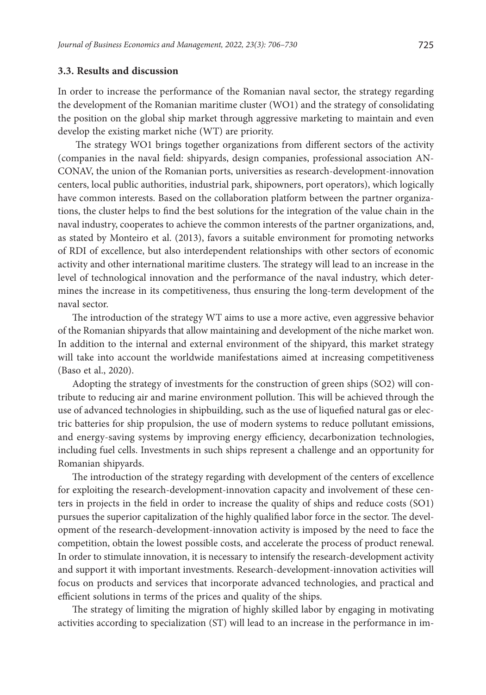#### **3.3. Results and discussion**

In order to increase the performance of the Romanian naval sector, the strategy regarding the development of the Romanian maritime cluster (WO1) and the strategy of consolidating the position on the global ship market through aggressive marketing to maintain and even develop the existing market niche (WT) are priority.

 The strategy WO1 brings together organizations from different sectors of the activity (companies in the naval field: shipyards, design companies, professional association AN-CONAV, the union of the Romanian ports, universities as research-development-innovation centers, local public authorities, industrial park, shipowners, port operators), which logically have common interests. Based on the collaboration platform between the partner organizations, the cluster helps to find the best solutions for the integration of the value chain in the naval industry, cooperates to achieve the common interests of the partner organizations, and, as stated by Monteiro et al. (2013), favors a suitable environment for promoting networks of RDI of excellence, but also interdependent relationships with other sectors of economic activity and other international maritime clusters. The strategy will lead to an increase in the level of technological innovation and the performance of the naval industry, which determines the increase in its competitiveness, thus ensuring the long-term development of the naval sector.

The introduction of the strategy WT aims to use a more active, even aggressive behavior of the Romanian shipyards that allow maintaining and development of the niche market won. In addition to the internal and external environment of the shipyard, this market strategy will take into account the worldwide manifestations aimed at increasing competitiveness (Baso et al., 2020).

Adopting the strategy of investments for the construction of green ships (SO2) will contribute to reducing air and marine environment pollution. This will be achieved through the use of advanced technologies in shipbuilding, such as the use of liquefied natural gas or electric batteries for ship propulsion, the use of modern systems to reduce pollutant emissions, and energy-saving systems by improving energy efficiency, decarbonization technologies, including fuel cells. Investments in such ships represent a challenge and an opportunity for Romanian shipyards.

The introduction of the strategy regarding with development of the centers of excellence for exploiting the research-development-innovation capacity and involvement of these centers in projects in the field in order to increase the quality of ships and reduce costs (SO1) pursues the superior capitalization of the highly qualified labor force in the sector. The development of the research-development-innovation activity is imposed by the need to face the competition, obtain the lowest possible costs, and accelerate the process of product renewal. In order to stimulate innovation, it is necessary to intensify the research-development activity and support it with important investments. Research-development-innovation activities will focus on products and services that incorporate advanced technologies, and practical and efficient solutions in terms of the prices and quality of the ships.

The strategy of limiting the migration of highly skilled labor by engaging in motivating activities according to specialization (ST) will lead to an increase in the performance in im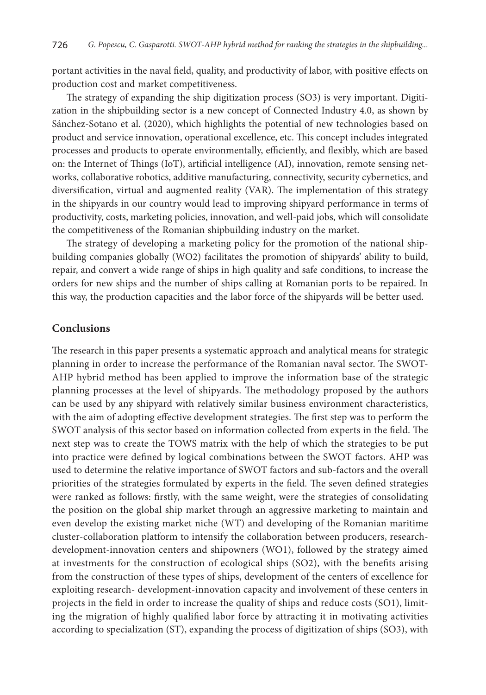portant activities in the naval field, quality, and productivity of labor, with positive effects on production cost and market competitiveness.

The strategy of expanding the ship digitization process (SO3) is very important. Digitization in the shipbuilding sector is a new concept of Connected Industry 4.0, as shown by Sánchez-Sotano et al. (2020), which highlights the potential of new technologies based on product and service innovation, operational excellence, etc. This concept includes integrated processes and products to operate environmentally, efficiently, and flexibly, which are based on: the Internet of Things (IoT), artificial intelligence (AI), innovation, remote sensing networks, collaborative robotics, additive manufacturing, connectivity, security cybernetics, and diversification, virtual and augmented reality (VAR). The implementation of this strategy in the shipyards in our country would lead to improving shipyard performance in terms of productivity, costs, marketing policies, innovation, and well-paid jobs, which will consolidate the competitiveness of the Romanian shipbuilding industry on the market.

The strategy of developing a marketing policy for the promotion of the national shipbuilding companies globally (WO2) facilitates the promotion of shipyards' ability to build, repair, and convert a wide range of ships in high quality and safe conditions, to increase the orders for new ships and the number of ships calling at Romanian ports to be repaired. In this way, the production capacities and the labor force of the shipyards will be better used.

### **Conclusions**

The research in this paper presents a systematic approach and analytical means for strategic planning in order to increase the performance of the Romanian naval sector. The SWOT-AHP hybrid method has been applied to improve the information base of the strategic planning processes at the level of shipyards. The methodology proposed by the authors can be used by any shipyard with relatively similar business environment characteristics, with the aim of adopting effective development strategies. The first step was to perform the SWOT analysis of this sector based on information collected from experts in the field. The next step was to create the TOWS matrix with the help of which the strategies to be put into practice were defined by logical combinations between the SWOT factors. AHP was used to determine the relative importance of SWOT factors and sub-factors and the overall priorities of the strategies formulated by experts in the field. The seven defined strategies were ranked as follows: firstly, with the same weight, were the strategies of consolidating the position on the global ship market through an aggressive marketing to maintain and even develop the existing market niche (WT) and developing of the Romanian maritime cluster-collaboration platform to intensify the collaboration between producers, researchdevelopment-innovation centers and shipowners (WO1), followed by the strategy aimed at investments for the construction of ecological ships (SO2), with the benefits arising from the construction of these types of ships, development of the centers of excellence for exploiting research- development-innovation capacity and involvement of these centers in projects in the field in order to increase the quality of ships and reduce costs (SO1), limiting the migration of highly qualified labor force by attracting it in motivating activities according to specialization (ST), expanding the process of digitization of ships (SO3), with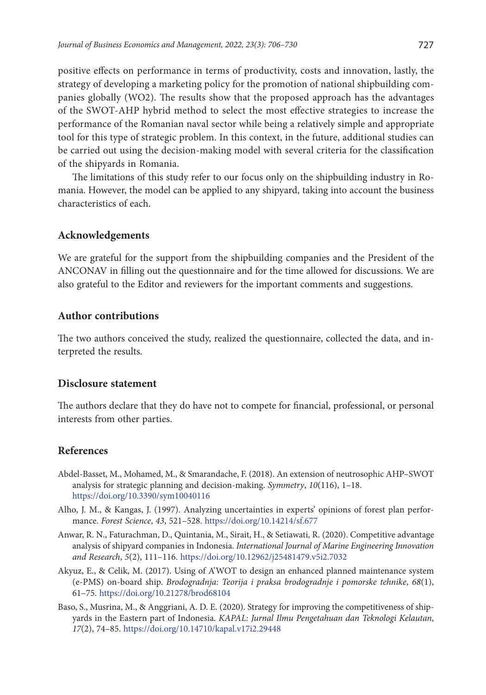positive effects on performance in terms of productivity, costs and innovation, lastly, the strategy of developing a marketing policy for the promotion of national shipbuilding companies globally (WO2). The results show that the proposed approach has the advantages of the SWOT-AHP hybrid method to select the most effective strategies to increase the performance of the Romanian naval sector while being a relatively simple and appropriate tool for this type of strategic problem. In this context, in the future, additional studies can be carried out using the decision-making model with several criteria for the classification of the shipyards in Romania.

The limitations of this study refer to our focus only on the shipbuilding industry in Romania. However, the model can be applied to any shipyard, taking into account the business characteristics of each.

## **Acknowledgements**

We are grateful for the support from the shipbuilding companies and the President of the ANCONAV in filling out the questionnaire and for the time allowed for discussions. We are also grateful to the Editor and reviewers for the important comments and suggestions.

## **Author contributions**

The two authors conceived the study, realized the questionnaire, collected the data, and interpreted the results.

## **Disclosure statement**

The authors declare that they do have not to compete for financial, professional, or personal interests from other parties.

## **References**

- Abdel-Basset, M., Mohamed, M., & Smarandache, F. (2018). An extension of neutrosophic AHP–SWOT analysis for strategic planning and decision-making. *Symmetry*, *10*(116), 1–18. <https://doi.org/10.3390/sym10040116>
- Alho, J. M., & Kangas, J. (1997). Analyzing uncertainties in experts' opinions of forest plan performance. *Forest Science*, *43*, 521–528. <https://doi.org/10.14214/sf.677>
- Anwar, R. N., Faturachman, D., Quintania, M., Sirait, H., & Setiawati, R. (2020). Competitive advantage analysis of shipyard companies in Indonesia. *International Journal of Marine Engineering Innovation and Research*, *5*(2), 111–116. <https://doi.org/10.12962/j25481479.v5i2.7032>
- Akyuz, E., & Celik, M. (2017). Using of A'WOT to design an enhanced planned maintenance system (e-PMS) on-board ship. *[Brodogradnja: Teorija i praksa brodogradnje i pomorske tehnike](https://hrcak.srce.hr/brodogradnja)*, *68*(1), 61–75. <https://doi.org/10.21278/brod68104>
- Baso, S., Musrina, M., & Anggriani, A. D. E. (2020). Strategy for improving the competitiveness of shipyards in the Eastern part of Indonesia. *KAPAL: Jurnal Ilmu Pengetahuan dan Teknologi Kelautan*, *17*(2), 74–85. <https://doi.org/10.14710/kapal.v17i2.29448>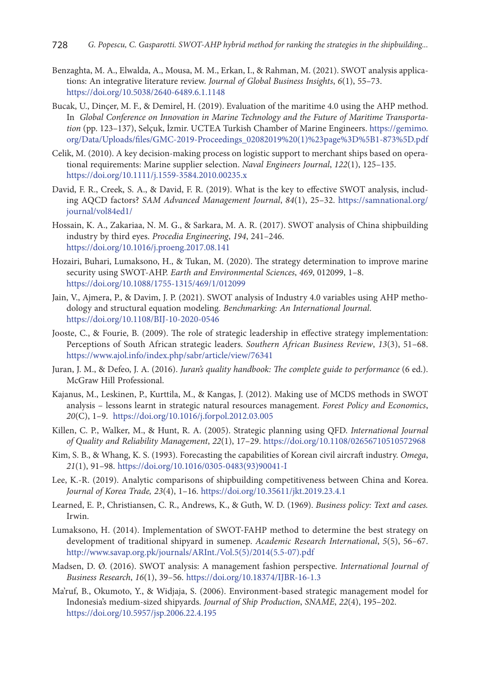- Benzaghta, M. A., Elwalda, A., Mousa, M. M., Erkan, I., & Rahman, M. (2021). SWOT analysis applications: An integrative literature review. *Journal of Global Business Insights*, *6*(1), 55–73. <https://doi.org/10.5038/2640-6489.6.1.1148>
- Bucak, U., Dinçer, M. F., & Demirel, H. (2019). Evaluation of the maritime 4.0 using the AHP method. In *Global Conference on Innovation in Marine Technology and the Future of Maritime Transportation* (pp. 123–137), Selçuk, İzmir. UCTEA Turkish Chamber of Marine Engineers. [https://gemimo.](https://gemimo.org/Data/Uploads/files/GMC-2019-Proceedings_02082019%20(1)%23page%3D%5B1-873%5D.pdf) [org/Data/Uploads/files/GMC-2019-Proceedings\\_02082019%20\(1\)%23page%3D%5B1-873%5D.pdf](https://gemimo.org/Data/Uploads/files/GMC-2019-Proceedings_02082019%20(1)%23page%3D%5B1-873%5D.pdf)
- Celik, M. (2010). A key decision-making process on logistic support to merchant ships based on operational requirements: Marine supplier selection. *Naval Engineers Journal*, *122*(1), 125–135. <https://doi.org/10.1111/j.1559-3584.2010.00235.x>
- David, F. R., Creek, S. A., & David, F. R. (2019). What is the key to effective SWOT analysis, including AQCD factors? *SAM Advanced Management Journal*, *84*(1), 25–32. [https://samnational.org/](https://samnational.org/journal/vol84ed1/) [journal/vol84ed1/](https://samnational.org/journal/vol84ed1/)
- Hossain, K. A., Zakariaa, N. M. G., & Sarkara, M. A. R. (2017). SWOT analysis of China shipbuilding industry by third eyes. *Procedia Engineering*, *194*, 241–246. <https://doi.org/10.1016/j.proeng.2017.08.141>
- Hozairi, Buhari, Lumaksono, H., & Tukan, M. (2020). The strategy determination to improve marine security using SWOT-AHP. *Earth and Environmental Sciences*, *469*, 012099, 1–8. <https://doi.org/10.1088/1755-1315/469/1/012099>
- [Jain, V.](https://www.emerald.com/insight/search?q=Vineet%20Jain), [Ajmera, P.,](https://www.emerald.com/insight/search?q=Puneeta%20Ajmera) & [Davim, J. P.](https://www.emerald.com/insight/search?q=Jo%C3%A3o%20Paulo%20Davim) (2021). SWOT analysis of Industry 4.0 variables using AHP methodology and structural equation modeling. *[Benchmarking: An International Journal](https://www.emerald.com/insight/publication/issn/1463-5771)*. <https://doi.org/10.1108/BIJ-10-2020-0546>
- Jooste, C., & Fourie, B. (2009). The role of strategic leadership in effective strategy implementation: Perceptions of South African strategic leaders. *Southern African Business Review*, *13*(3), 51–68. <https://www.ajol.info/index.php/sabr/article/view/76341>
- Juran, J. M., & Defeo, J. A. (2016). *Juran's quality handbook: The complete guide to performance* (6 ed.). McGraw Hill Professional.
- Kajanus, M., Leskinen, P., Kurttila, M., & Kangas, J. (2012). Making use of MCDS methods in SWOT analysis – lessons learnt in strategic natural resources management. *Forest Policy and Economics*, *20*(C), 1–9. <https://doi.org/10.1016/j.forpol.2012.03.005>
- Killen, C. P., Walker, M., & Hunt, R. A. (2005). Strategic planning using QFD. *International Journal of Quality and Reliability Management*, *22*(1), 17–29. <https://doi.org/10.1108/02656710510572968>
- Kim, S. B., & Whang, K. S. (1993). Forecasting the capabilities of Korean civil aircraft industry. *Omega*, *21*(1), 91–98. [https://doi.org/10.1016/0305-0483\(93\)90041-I](https://doi.org/10.1016/0305-0483(93)90041-I)
- Lee, K.-R. (2019). Analytic comparisons of shipbuilding competitiveness between China and Korea. *Journal of Korea Trade, 23*(4), 1–16. <https://doi.org/10.35611/jkt.2019.23.4.1>
- Learned, E. P., Christiansen, C. R., Andrews, K., & Guth, W. D. (1969). *Business policy: Text and cases.* Irwin.
- Lumaksono, H. (2014). Implementation of SWOT-FAHP method to determine the best strategy on development of traditional shipyard in sumenep. *Academic Research International*, *5*(5), 56–67. [http://www.savap.org.pk/journals/ARInt./Vol.5\(5\)/2014\(5.5-07\).pdf](http://www.savap.org.pk/journals/ARInt./Vol.5(5)/2014(5.5-07).pdf)
- Madsen, D. Ø. (2016). SWOT analysis: A management fashion perspective. *International Journal of Business Research*, *16*(1), 39–56. <https://doi.org/10.18374/IJBR-16-1.3>
- Ma'ruf, B., Okumoto, Y., & Widjaja, S. (2006). Environment-based strategic management model for Indonesia's medium-sized shipyards. *Journal of Ship Production*, *SNAME*, *22*(4), 195–202. <https://doi.org/10.5957/jsp.2006.22.4.195>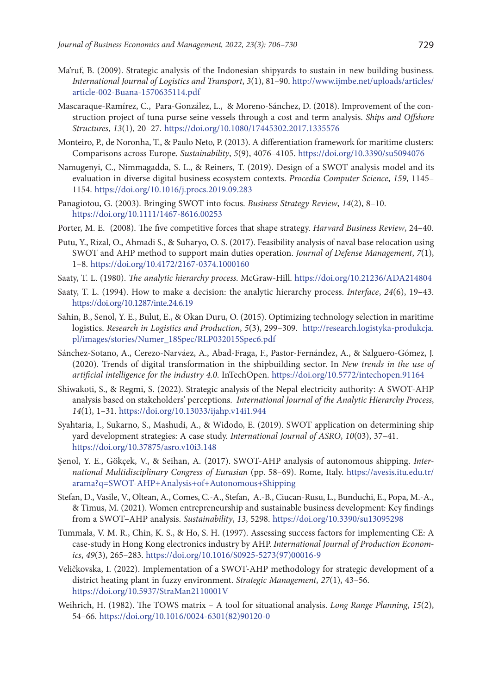- Ma'ruf, B. (2009). Strategic analysis of the Indonesian shipyards to sustain in new building business. *International Journal of Logistics and Transport*, *3*(1), 81–90. [http://www.ijmbe.net/uploads/articles/](http://www.ijmbe.net/uploads/articles/article-002-Buana-1570635114.pdf) [article-002-Buana-1570635114.pdf](http://www.ijmbe.net/uploads/articles/article-002-Buana-1570635114.pdf)
- [Mascaraque-Ramírez](https://www.tandfonline.com/author/Mascaraque-Ram%C3%ADrez%2C+Carlos), C., [Para-González,](https://www.tandfonline.com/author/Para-Gonz%C3%A1lez%2C+Lorena) L., [& Moreno-Sánchez](https://www.tandfonline.com/author/Moreno-S%C3%A1nchez%2C+David), D. (2018). Improvement of the construction project of tuna purse seine vessels through a cost and term analysis. *Ships and Offshore Structures*, *13*(1), 20–27. <https://doi.org/10.1080/17445302.2017.1335576>
- Monteiro, P., de Noronha, T., & Paulo Neto, P. (2013). A differentiation framework for maritime clusters: Comparisons across Europe. *Sustainability*, *5*(9), 4076–4105. <https://doi.org/10.3390/su5094076>
- Namugenyi, C., Nimmagadda, S. L., & Reiners, T. (2019). Design of a SWOT analysis model and its evaluation in diverse digital business ecosystem contexts. *Procedia Computer Science*, *159*, 1145– 1154. <https://doi.org/10.1016/j.procs.2019.09.283>
- Panagiotou, G. (2003). Bringing SWOT into focus. *Business Strategy Review*, *14*(2), 8–10. <https://doi.org/10.1111/1467-8616.00253>
- Porter, M. E. (2008). The five competitive forces that shape strategy. *Harvard Business Review*, 24–40.
- Putu, Y., Rizal, O., Ahmadi S., & Suharyo, O. S. (2017). Feasibility analysis of naval base relocation using SWOT and AHP method to support main duties operation. *Journal of Defense Management*, *7*(1), 1–8. <https://doi.org/10.4172/2167-0374.1000160>
- Saaty, T. L. (1980). *The analytic hierarchy process*. McGraw-Hill. <https://doi.org/10.21236/ADA214804>
- Saaty, T. L. (1994). How to make a decision: the analytic hierarchy process. *Interface*, *24*(6), 19–43. <https://doi.org/10.1287/inte.24.6.19>
- Sahin, B., Senol, Y. E., Bulut, E., & Okan Duru, O. (2015). Optimizing technology selection in maritime logistics. *Research in Logistics and Production*, *5*(3), 299–309. [http://research.logistyka-produkcja.](http://research.logistyka-produkcja.pl/images/stories/Numer_18Spec/RLP032015Spec6.pdf) [pl/images/stories/Numer\\_18Spec/RLP032015Spec6.pdf](http://research.logistyka-produkcja.pl/images/stories/Numer_18Spec/RLP032015Spec6.pdf)
- Sánchez-Sotano, A., Cerezo-Narváez, A., Abad-Fraga, F., Pastor-Fernández, A., & Salguero-Gómez, J. (2020). Trends of digital transformation in the shipbuilding sector. In *New trends in the use of artificial intelligence for the industry 4.0*. InTechOpen. <https://doi.org/10.5772/intechopen.91164>
- Shiwakoti, S., & Regmi, S. (2022). Strategic analysis of the Nepal electricity authority: A SWOT-AHP analysis based on stakeholders' perceptions. *International Journal of the Analytic Hierarchy Process*, *14*(1), 1–31. <https://doi.org/10.13033/ijahp.v14i1.944>
- Syahtaria, I., Sukarno, S., Mashudi, A., & Widodo, E. (2019). SWOT application on determining ship yard development strategies: A case study. *International Journal of ASRO*, *10*(03), 37–41. <https://doi.org/10.37875/asro.v10i3.148>
- Şenol, Y. E., Gökçek, V., & Seihan, A. (2017). SWOT-AHP analysis of autonomous shipping. *International Multidisciplinary Congress of Eurasian* (pp. 58–69). Rome, Italy. [https://avesis.itu.edu.tr/](https://avesis.itu.edu.tr/arama?q=SWOT-AHP+Analysis+of+Autonomous+Shipping) [arama?q=SWOT-AHP+Analysis+of+Autonomous+Shipping](https://avesis.itu.edu.tr/arama?q=SWOT-AHP+Analysis+of+Autonomous+Shipping)
- Stefan, D., Vasile, V., Oltean, A., Comes, C.-A., Stefan, A.-B., Ciucan-Rusu, L., Bunduchi, E., Popa, M.-A., & Timus, M. (2021). Women entrepreneurship and sustainable business development: Key findings from a SWOT–AHP analysis. *Sustainability*, *13*, 5298. <https://doi.org/10.3390/su13095298>
- Tummala, V. M. R., Chin, K. S., & Ho, S. H. (1997). Assessing success factors for implementing CE: A case-study in Hong Kong electronics industry by AHP. *International Journal of Production Economics*, *49*(3), 265–283. [https://doi.org/10.1016/S0925-5273\(97\)00016-9](https://doi.org/10.1016/S0925-5273(97)00016-9)
- Veličkovska, I. (2022). Implementation of a SWOT-AHP methodology for strategic development of a district heating plant in fuzzy environment. *Strategic Management*, *27*(1), 43–56. <https://doi.org/10.5937/StraMan2110001V>
- Weihrich, H. (1982). The TOWS matrix A tool for situational analysis. *Long Range Planning*, *15*(2), 54–66. [https://doi.org/10.1016/0024-6301\(82\)90120-0](https://doi.org/10.1016/0024-6301(82)90120-0)